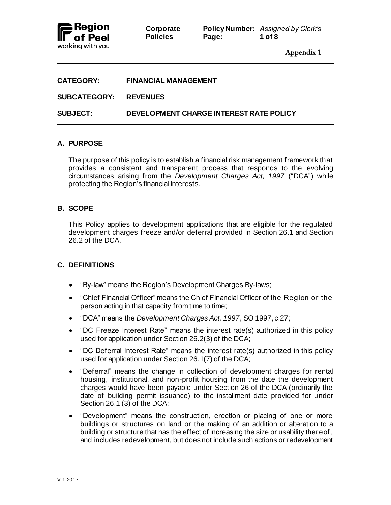

| <b>CATEGORY:</b>             | <b>FINANCIAL MANAGEMENT</b>             |
|------------------------------|-----------------------------------------|
| <b>SUBCATEGORY: REVENUES</b> |                                         |
| <b>SUBJECT:</b>              | DEVELOPMENT CHARGE INTEREST RATE POLICY |

## **A. PURPOSE**

The purpose of this policy is to establish a financial risk management framework that provides a consistent and transparent process that responds to the evolving circumstances arising from the *Development Charges Act, 1997* ("DCA") while protecting the Region's financial interests.

## **B. SCOPE**

This Policy applies to development applications that are eligible for the regulated development charges freeze and/or deferral provided in Section 26.1 and Section 26.2 of the DCA.

## **C. DEFINITIONS**

- "By-law" means the Region's Development Charges By-laws;
- "Chief Financial Officer" means the Chief Financial Officer of the Region or the person acting in that capacity from time to time;
- "DCA" means the *Development Charges Act, 1997*, SO 1997, c.27;
- "DC Freeze Interest Rate" means the interest rate(s) authorized in this policy used for application under Section 26.2(3) of the DCA;
- "DC Deferral Interest Rate" means the interest rate(s) authorized in this policy used for application under Section 26.1(7) of the DCA;
- "Deferral" means the change in collection of development charges for rental housing, institutional, and non-profit housing from the date the development charges would have been payable under Section 26 of the DCA (ordinarily the date of building permit issuance) to the installment date provided for under Section 26.1 (3) of the DCA;
- "Development" means the construction, erection or placing of one or more buildings or structures on land or the making of an addition or alteration to a building or structure that has the effect of increasing the size or usability thereof, and includes redevelopment, but does not include such actions or redevelopment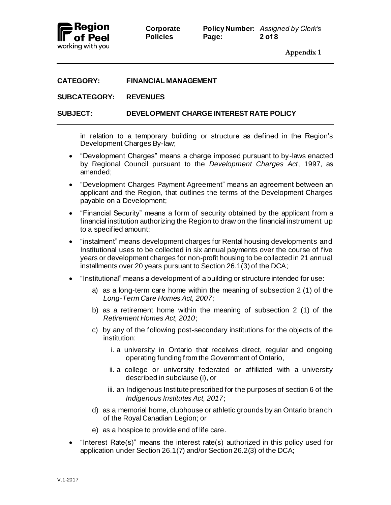

#### **CATEGORY: FINANCIAL MANAGEMENT**

#### **SUBCATEGORY: REVENUES**

#### **SUBJECT: DEVELOPMENT CHARGE INTEREST RATE POLICY**

in relation to a temporary building or structure as defined in the Region's Development Charges By-law;

- "Development Charges" means a charge imposed pursuant to by-laws enacted by Regional Council pursuant to the *Development Charges Act*, 1997, as amended;
- "Development Charges Payment Agreement" means an agreement between an applicant and the Region, that outlines the terms of the Development Charges payable on a Development;
- "Financial Security" means a form of security obtained by the applicant from a financial institution authorizing the Region to draw on the financial instrument up to a specified amount;
- "instalment" means development charges for Rental housing developments and Institutional uses to be collected in six annual payments over the course of five years or development charges for non-profit housing to be collected in 21 annual installments over 20 years pursuant to Section 26.1(3) of the DCA;
- "Institutional" means a development of a building or structure intended for use:
	- a) as a long-term care home within the meaning of subsection 2 (1) of the *Long-Term Care Homes Act, 2007*;
	- b) as a retirement home within the meaning of subsection 2 (1) of the *Retirement Homes Act, 2010*;
	- c) by any of the following post-secondary institutions for the objects of the institution:
		- i. a university in Ontario that receives direct, regular and ongoing operating funding from the Government of Ontario,
		- ii. a college or university federated or affiliated with a university described in subclause (i), or
		- iii. an Indigenous Institute prescribed for the purposes of section 6 of the *Indigenous Institutes Act, 2017*;
	- d) as a memorial home, clubhouse or athletic grounds by an Ontario branch of the Royal Canadian Legion; or
	- e) as a hospice to provide end of life care.
- "Interest Rate(s)" means the interest rate(s) authorized in this policy used for application under Section 26.1(7) and/or Section 26.2(3) of the DCA;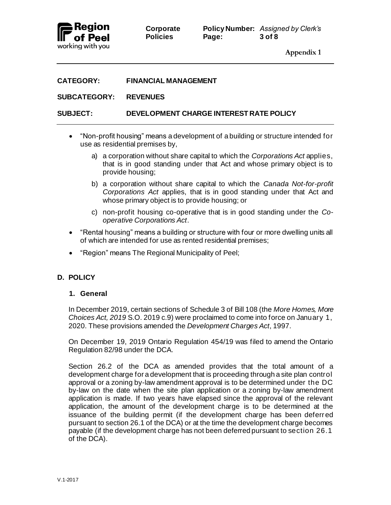

## **CATEGORY: FINANCIAL MANAGEMENT**

#### **SUBCATEGORY: REVENUES**

## **SUBJECT: DEVELOPMENT CHARGE INTEREST RATE POLICY**

- "Non-profit housing" means a development of a building or structure intended for use as residential premises by,
	- a) a corporation without share capital to which the *Corporations Act* applies, that is in good standing under that Act and whose primary object is to provide housing;
	- b) a corporation without share capital to which the *Canada Not-for-profit Corporations Act* applies, that is in good standing under that Act and whose primary object is to provide housing; or
	- c) non-profit housing co-operative that is in good standing under the *Cooperative Corporations Act*.
- "Rental housing" means a building or structure with four or more dwelling units all of which are intended for use as rented residential premises;
- "Region" means The Regional Municipality of Peel;

## **D. POLICY**

#### **1. General**

In December 2019, certain sections of Schedule 3 of Bill 108 (the *More Homes, More Choices Act, 2019* S.O. 2019 c.9) were proclaimed to come into force on January 1, 2020. These provisions amended the *Development Charges Act*, 1997.

On December 19, 2019 Ontario Regulation 454/19 was filed to amend the Ontario Regulation 82/98 under the DCA.

Section 26.2 of the DCA as amended provides that the total amount of a development charge for a development that is proceeding through a site plan control approval or a zoning by-law amendment approval is to be determined under the DC by-law on the date when the site plan application or a zoning by-law amendment application is made. If two years have elapsed since the approval of the relevant application, the amount of the development charge is to be determined at the issuance of the building permit (if the development charge has been deferred pursuant to section 26.1 of the DCA) or at the time the development charge becomes payable (if the development charge has not been deferred pursuant to section 26.1 of the DCA).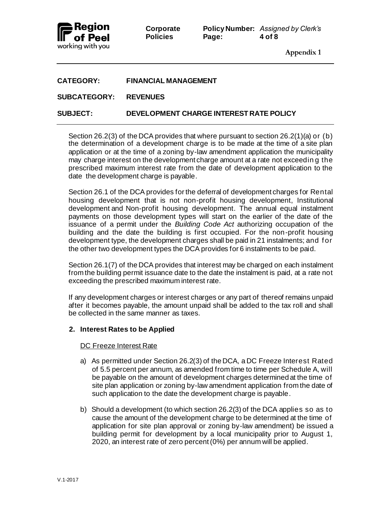

 $Corporate$ **Policies Page: 4 of 8**

|       | <b>Policy Number:</b> Assigned by Clerk's |
|-------|-------------------------------------------|
| Page: | 4 of 8                                    |

**Appendix 1**

| <b>CATEGORY:</b> | <b>FINANCIAL MANAGEMENT</b> |
|------------------|-----------------------------|
|                  |                             |

## **SUBCATEGORY: REVENUES**

## **SUBJECT: DEVELOPMENT CHARGE INTEREST RATE POLICY**

Section 26.2(3) of the DCA provides that where pursuant to section 26.2(1)(a) or (b) the determination of a development charge is to be made at the time of a site plan application or at the time of a zoning by-law amendment application the municipality may charge interest on the development charge amount at a rate not exceedin g the prescribed maximum interest rate from the date of development application to the date the development charge is payable.

Section 26.1 of the DCA provides for the deferral of development charges for Rental housing development that is not non-profit housing development, Institutional development and Non-profit housing development. The annual equal instalment payments on those development types will start on the earlier of the date of the issuance of a permit under the *Building Code Act* authorizing occupation of the building and the date the building is first occupied. For the non-profit housing development type, the development charges shall be paid in 21 instalments; and f or the other two development types the DCA provides for 6 instalments to be paid.

Section 26.1(7) of the DCA provides that interest may be charged on each instalment from the building permit issuance date to the date the instalment is paid, at a rate not exceeding the prescribed maximum interest rate.

If any development charges or interest charges or any part of thereof remains unpaid after it becomes payable, the amount unpaid shall be added to the tax roll and shall be collected in the same manner as taxes.

## **2. Interest Rates to be Applied**

DC Freeze Interest Rate

- a) As permitted under Section 26.2(3) of the DCA, a DC Freeze Interest Rated of 5.5 percent per annum, as amended from time to time per Schedule A, will be payable on the amount of development charges determined at the time of site plan application or zoning by-law amendment application from the date of such application to the date the development charge is payable.
- b) Should a development (to which section 26.2(3) of the DCA applies so as to cause the amount of the development charge to be determined at the time of application for site plan approval or zoning by-law amendment) be issued a building permit for development by a local municipality prior to August 1, 2020, an interest rate of zero percent (0%) per annum will be applied.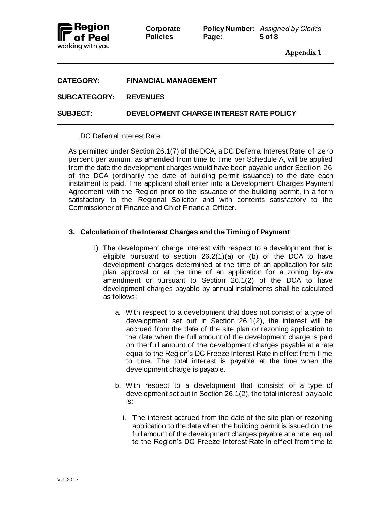

 $Corporate$ **Policies Page: 5 of 8**

|       | <b>Policy Number:</b> Assigned by Clerk's |
|-------|-------------------------------------------|
| Page: | 5 of 8                                    |

**Appendix 1**

| <b>CATEGORY:</b>             | <b>FINANCIAL MANAGEMENT</b>             |
|------------------------------|-----------------------------------------|
| <b>SUBCATEGORY: REVENUES</b> |                                         |
| <b>SUBJECT:</b>              | DEVELOPMENT CHARGE INTEREST RATE POLICY |

#### DC Deferral Interest Rate

As permitted under Section 26.1(7) of the DCA, a DC Deferral Interest Rate of zero percent per annum, as amended from time to time per Schedule A, will be applied from the date the development charges would have been payable under Section 26 of the DCA (ordinarily the date of building permit issuance) to the date each instalment is paid. The applicant shall enter into a Development Charges Payment Agreement with the Region prior to the issuance of the building permit, in a form satisfactory to the Regional Solicitor and with contents satisfactory to the Commissioner of Finance and Chief Financial Officer.

## **3. Calculation of the Interest Charges and the Timing of Payment**

- 1) The development charge interest with respect to a development that is eligible pursuant to section 26.2(1)(a) or (b) of the DCA to have development charges determined at the time of an application for site plan approval or at the time of an application for a zoning by-law amendment or pursuant to Section 26.1(2) of the DCA to have development charges payable by annual installments shall be calculated as follows:
	- a. With respect to a development that does not consist of a type of development set out in Section 26.1(2), the interest will be accrued from the date of the site plan or rezoning application to the date when the full amount of the development charge is paid on the full amount of the development charges payable at a rate equal to the Region's DC Freeze Interest Rate in effect from time to time. The total interest is payable at the time when the development charge is payable.
	- b. With respect to a development that consists of a type of development set out in Section 26.1(2), the total interest payable is:
		- i. The interest accrued from the date of the site plan or rezoning application to the date when the building permit is issued on the full amount of the development charges payable at a rate equal to the Region's DC Freeze Interest Rate in effect from time to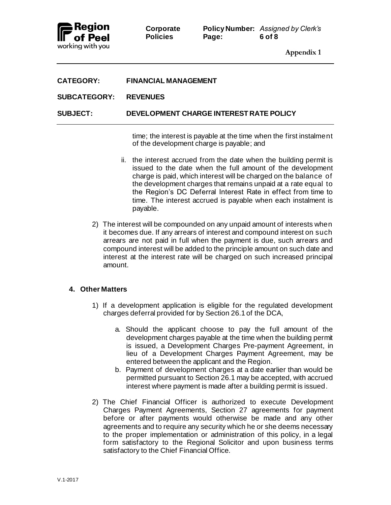

#### **SUBCATEGORY: REVENUES**

**SUBJECT: DEVELOPMENT CHARGE INTEREST RATE POLICY**

time; the interest is payable at the time when the first instalment of the development charge is payable; and

- ii. the interest accrued from the date when the building permit is issued to the date when the full amount of the development charge is paid, which interest will be charged on the balance of the development charges that remains unpaid at a rate equal to the Region's DC Deferral Interest Rate in effect from time to time. The interest accrued is payable when each instalment is payable.
- 2) The interest will be compounded on any unpaid amount of interests when it becomes due. If any arrears of interest and compound interest on such arrears are not paid in full when the payment is due, such arrears and compound interest will be added to the principle amount on such date and interest at the interest rate will be charged on such increased principal amount.

#### **4. Other Matters**

- 1) If a development application is eligible for the regulated development charges deferral provided for by Section 26.1 of the DCA,
	- a. Should the applicant choose to pay the full amount of the development charges payable at the time when the building permit is issued, a Development Charges Pre-payment Agreement, in lieu of a Development Charges Payment Agreement, may be entered between the applicant and the Region.
	- b. Payment of development charges at a date earlier than would be permitted pursuant to Section 26.1 may be accepted, with accrued interest where payment is made after a building permit is issued.
- 2) The Chief Financial Officer is authorized to execute Development Charges Payment Agreements, Section 27 agreements for payment before or after payments would otherwise be made and any other agreements and to require any security which he or she deems necessary to the proper implementation or administration of this policy, in a legal form satisfactory to the Regional Solicitor and upon business terms satisfactory to the Chief Financial Office.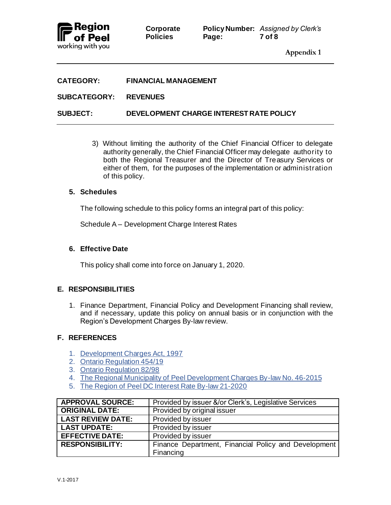

| <b>CATEGORY:</b>      | <b>FINANCIAL MANAGEMENT</b>             |
|-----------------------|-----------------------------------------|
| SUBCATEGORY: REVENUES |                                         |
| <b>SUBJECT:</b>       | DEVELOPMENT CHARGE INTEREST RATE POLICY |

3) Without limiting the authority of the Chief Financial Officer to delegate authority generally, the Chief Financial Officer may delegate authority to both the Regional Treasurer and the Director of Treasury Services or either of them, for the purposes of the implementation or administration of this policy.

#### **5. Schedules**

The following schedule to this policy forms an integral part of this policy:

Schedule A – Development Charge Interest Rates

#### **6. Effective Date**

This policy shall come into force on January 1, 2020.

## **E. RESPONSIBILITIES**

1. Finance Department, Financial Policy and Development Financing shall review, and if necessary, update this policy on annual basis or in conjunction with the Region's Development Charges By-law review.

## **F. REFERENCES**

- 1. [Development Charges Act, 1997](https://www.ontario.ca/laws/statute/97d27)
- 2. [Ontario Regulation 454/19](https://www.ontario.ca/laws/regulation/r19454?search=454%2F19)
- 3. [Ontario Regulation 82/98](https://www.ontario.ca/laws/regulation/980082)
- 4. The [Regional Municipality of Peel Development Charges By-law No. 46-2015](https://www.peelregion.ca/finance/_media/By-law-46-2015.pdf)
- 5. The [Region of Peel DC Interest Rate By-law 21-2020](https://www.peelregion.ca/council/bylaws/2020s/2020/bl-21-2020.pdf)

| <b>APPROVAL SOURCE:</b>  | Provided by issuer &/or Clerk's, Legislative Services |
|--------------------------|-------------------------------------------------------|
| <b>ORIGINAL DATE:</b>    | Provided by original issuer                           |
| <b>LAST REVIEW DATE:</b> | Provided by issuer                                    |
| <b>LAST UPDATE:</b>      | Provided by issuer                                    |
| <b>EFFECTIVE DATE:</b>   | Provided by issuer                                    |
| <b>RESPONSIBILITY:</b>   | Finance Department, Financial Policy and Development  |
|                          | Financing                                             |